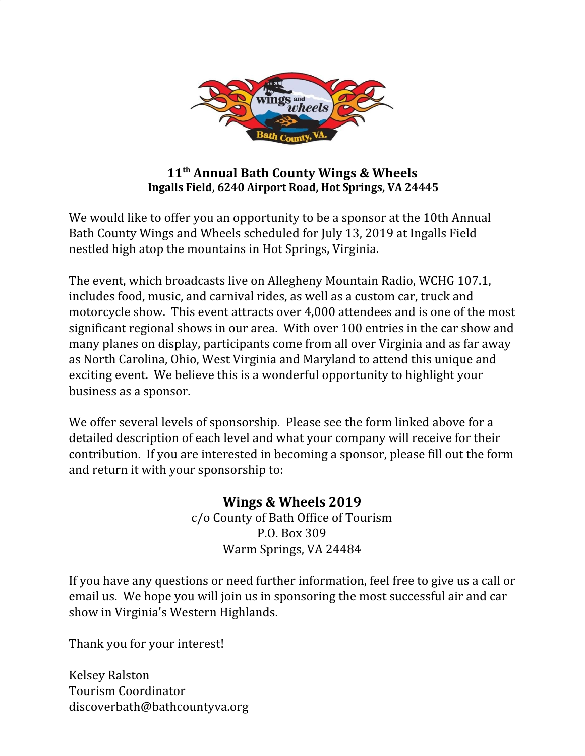

## **11 th Annual Bath County Wings & Wheels Ingalls Field, 6240 Airport Road, Hot Springs, VA 24445**

We would like to offer you an opportunity to be a sponsor at the 10th Annual Bath County Wings and Wheels scheduled for July 13, 2019 at Ingalls Field nestled high atop the mountains in Hot Springs, Virginia.

The event, which broadcasts live on Allegheny Mountain Radio, WCHG 107.1, includes food, music, and carnival rides, as well as a custom car, truck and motorcycle show. This event attracts over 4,000 attendees and is one of the most significant regional shows in our area. With over 100 entries in the car show and many planes on display, participants come from all over Virginia and as far away as North Carolina, Ohio, West Virginia and Maryland to attend this unique and exciting event. We believe this is a wonderful opportunity to highlight your business as a sponsor.

We offer several levels of sponsorship. Please see the form linked above for a detailed description of each level and what your company will receive for their contribution. If you are interested in becoming a sponsor, please fill out the form and return it with your sponsorship to:

## **Wings & Wheels 2019** c/o County of Bath Office of Tourism P.O. Box 309 Warm Springs, VA 24484

If you have any questions or need further information, feel free to give us a call or email us. We hope you will join us in sponsoring the most successful air and car show in Virginia's Western Highlands.

Thank you for your interest!

Kelsey Ralston Tourism Coordinator discoverbath@bathcountyva.org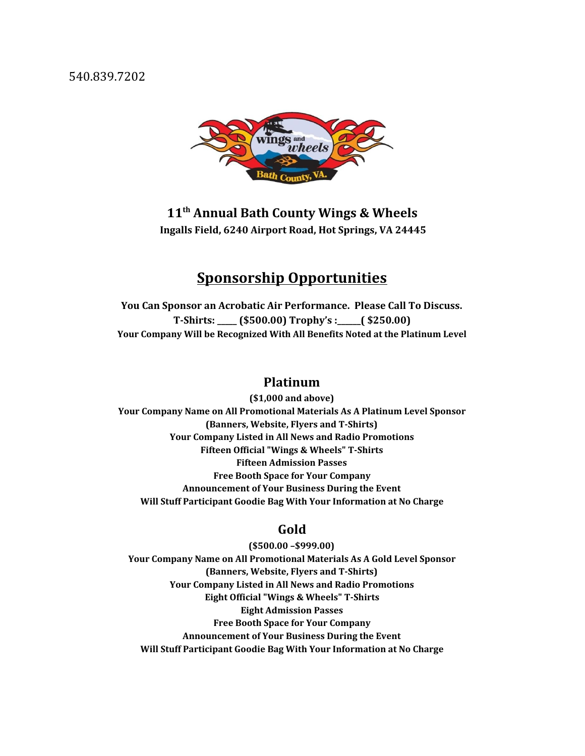540.839.7202



**11 th Annual Bath County Wings & Wheels Ingalls Field, 6240 Airport Road, Hot Springs, VA 24445**

# **Sponsorship Opportunities**

**You Can Sponsor an Acrobatic Air Performance. Please Call To Discuss. T-Shirts: \_\_\_\_\_ (\$500.00) Trophy's :\_\_\_\_\_\_( \$250.00) Your Company Will be Recognized With All Benefits Noted at the Platinum Level**

#### **Platinum**

**(\$1,000 and above) Your Company Name on All Promotional Materials As A Platinum Level Sponsor (Banners, Website, Flyers and T-Shirts) Your Company Listed in All News and Radio Promotions Fifteen Official "Wings & Wheels" T-Shirts Fifteen Admission Passes Free Booth Space for Your Company Announcement of Your Business During the Event Will Stuff Participant Goodie Bag With Your Information at No Charge**

#### **Gold**

**(\$500.00 –\$999.00) Your Company Name on All Promotional Materials As A Gold Level Sponsor (Banners, Website, Flyers and T-Shirts) Your Company Listed in All News and Radio Promotions Eight Official "Wings & Wheels" T-Shirts Eight Admission Passes Free Booth Space for Your Company Announcement of Your Business During the Event Will Stuff Participant Goodie Bag With Your Information at No Charge**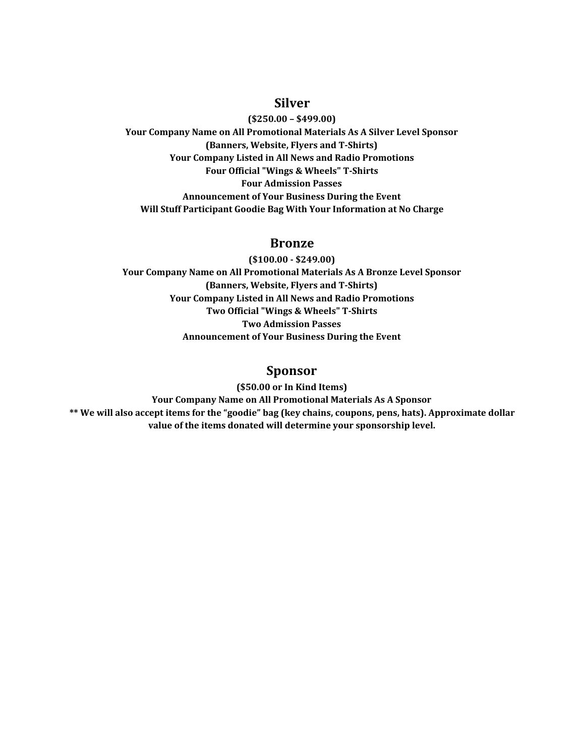#### **Silver**

**(\$250.00 – \$499.00) Your Company Name on All Promotional Materials As A Silver Level Sponsor (Banners, Website, Flyers and T-Shirts) Your Company Listed in All News and Radio Promotions Four Official "Wings & Wheels" T-Shirts Four Admission Passes Announcement of Your Business During the Event Will Stuff Participant Goodie Bag With Your Information at No Charge**

#### **Bronze**

**(\$100.00 - \$249.00) Your Company Name on All Promotional Materials As A Bronze Level Sponsor (Banners, Website, Flyers and T-Shirts) Your Company Listed in All News and Radio Promotions Two Official "Wings & Wheels" T-Shirts Two Admission Passes Announcement of Your Business During the Event**

### **Sponsor**

**(\$50.00 or In Kind Items) Your Company Name on All Promotional Materials As A Sponsor \*\* We will also accept items for the "goodie" bag (key chains, coupons, pens, hats). Approximate dollar value of the items donated will determine your sponsorship level.**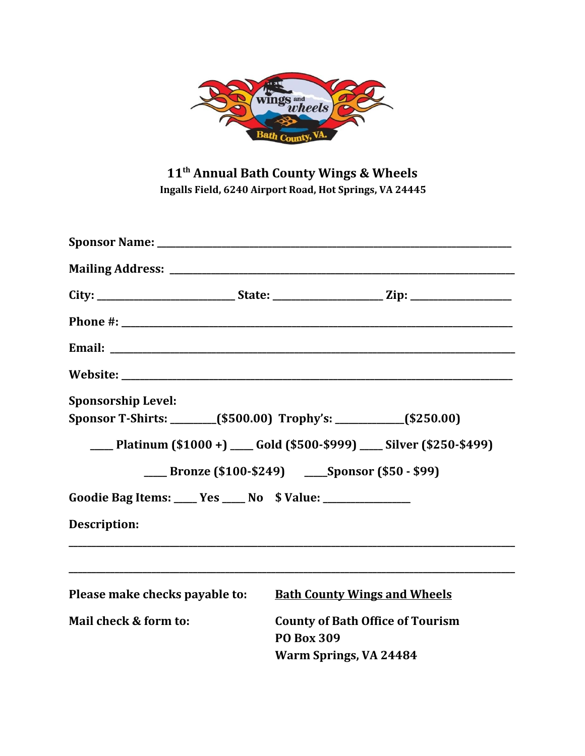

# **11 th Annual Bath County Wings & Wheels Ingalls Field, 6240 Airport Road, Hot Springs, VA 24445**

|                                                               | City: _______________________________State: ___________________________Zip: ________________________ |
|---------------------------------------------------------------|------------------------------------------------------------------------------------------------------|
|                                                               |                                                                                                      |
|                                                               |                                                                                                      |
|                                                               |                                                                                                      |
| <b>Sponsorship Level:</b>                                     |                                                                                                      |
|                                                               | Sponsor T-Shirts: _______(\$500.00) Trophy's: __________(\$250.00)                                   |
|                                                               | ___ Platinum (\$1000 +) ___ Gold (\$500-\$999) ___ Silver (\$250-\$499)                              |
|                                                               | <b>____ Bronze (\$100-\$249)</b> ___ Sponsor (\$50 - \$99)                                           |
| Goodie Bag Items: ____ Yes ____ No \$ Value: ________________ |                                                                                                      |
| <b>Description:</b>                                           |                                                                                                      |
| Please make checks payable to:                                | <b>Bath County Wings and Wheels</b>                                                                  |
| Mail check & form to:                                         | <b>County of Bath Office of Tourism</b><br><b>PO Box 309</b><br>Warm Springs, VA 24484               |